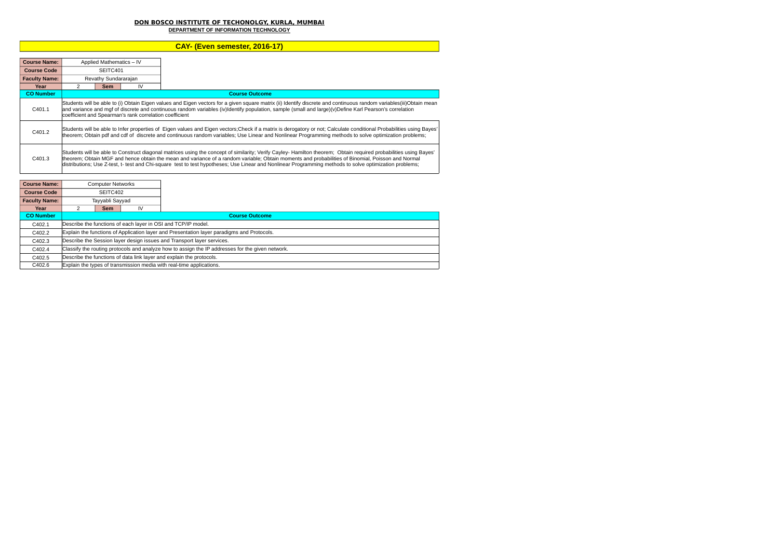## **DON BOSCO INSTITUTE OF TECHONOLGY, KURLA, MUMBAI DEPARTMENT OF INFORMATION TECHNOLOGY**

## **CAY- (Even semester, 2016-17)**

| <b>Course Name:</b>  | Applied Mathematics - IV |                                                         |                                                                                                                                                                                                                                                                                                                                                                                                                                                                                  |
|----------------------|--------------------------|---------------------------------------------------------|----------------------------------------------------------------------------------------------------------------------------------------------------------------------------------------------------------------------------------------------------------------------------------------------------------------------------------------------------------------------------------------------------------------------------------------------------------------------------------|
| <b>Course Code</b>   | SEITC401                 |                                                         |                                                                                                                                                                                                                                                                                                                                                                                                                                                                                  |
| <b>Faculty Name:</b> | Revathy Sundararajan     |                                                         |                                                                                                                                                                                                                                                                                                                                                                                                                                                                                  |
| Year                 | <b>Sem</b>               | IV                                                      |                                                                                                                                                                                                                                                                                                                                                                                                                                                                                  |
| <b>CO Number</b>     |                          |                                                         | <b>Course Outcome</b>                                                                                                                                                                                                                                                                                                                                                                                                                                                            |
| C401.1               |                          | coefficient and Spearman's rank correlation coefficient | Students will be able to (i) Obtain Eigen values and Eigen vectors for a given square matrix (ii) Identify discrete and continuous random variables(iii)Obtain mean<br>and variance and mgf of discrete and continuous random variables (iv)ldentify population, sample (small and large)(v)Define Karl Pearson's correlation                                                                                                                                                    |
| C401.2               |                          |                                                         | Students will be able to Infer properties of Eigen values and Eigen vectors; Check if a matrix is derogatory or not; Calculate conditional Probabilities using Bayes'<br>theorem; Obtain pdf and cdf of discrete and continuous random variables; Use Linear and Nonlinear Programming methods to solve optimization problems;                                                                                                                                                   |
| C401.3               |                          |                                                         | Students will be able to Construct diagonal matrices using the concept of similarity; Verify Cayley-Hamilton theorem; Obtain required probabilities using Bayes'<br>theorem; Obtain MGF and hence obtain the mean and variance of a random variable; Obtain moments and probabilities of Binomial, Poisson and Normal<br>distributions; Use Z-test, t- test and Chi-square test to test hypotheses; Use Linear and Nonlinear Programming methods to solve optimization problems; |

| <b>Course Name:</b>  | <b>Computer Networks</b> |    |                                                                                                  |
|----------------------|--------------------------|----|--------------------------------------------------------------------------------------------------|
| <b>Course Code</b>   | SEITC402                 |    |                                                                                                  |
| <b>Faculty Name:</b> | Tayyabli Sayyad          |    |                                                                                                  |
| Year                 | <b>Sem</b>               | IV |                                                                                                  |
| <b>CO Number</b>     |                          |    | <b>Course Outcome</b>                                                                            |
| C402.1               |                          |    | Describe the functions of each layer in OSI and TCP/IP model.                                    |
| C402.2               |                          |    | Explain the functions of Application layer and Presentation layer paradigms and Protocols.       |
| C402.3               |                          |    | Describe the Session layer design issues and Transport layer services.                           |
| C402.4               |                          |    | Classify the routing protocols and analyze how to assign the IP addresses for the given network. |
| C402.5               |                          |    | Describe the functions of data link layer and explain the protocols.                             |
| C402.6               |                          |    | Explain the types of transmission media with real-time applications.                             |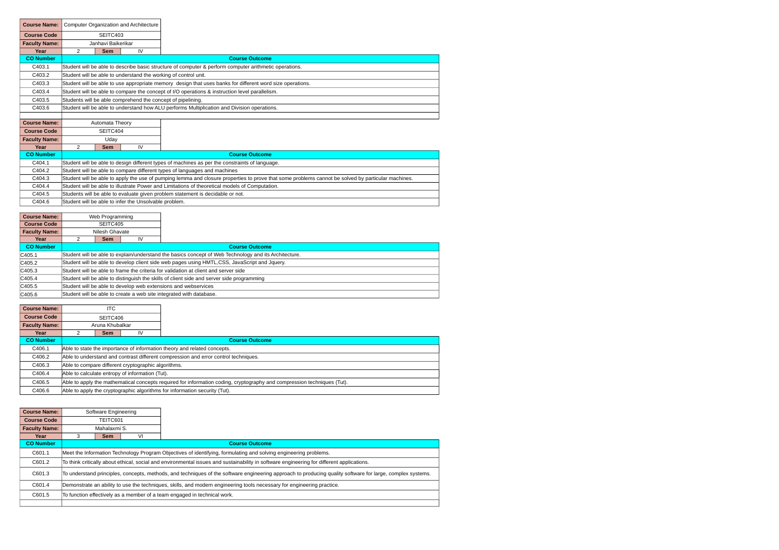| <b>Course Name:</b>  |   |                    | Computer Organization and Architecture |                                                                                                           |
|----------------------|---|--------------------|----------------------------------------|-----------------------------------------------------------------------------------------------------------|
| <b>Course Code</b>   |   | SEITC403           |                                        |                                                                                                           |
| <b>Faculty Name:</b> |   | Janhavi Baikerikar |                                        |                                                                                                           |
| Year                 | 2 | <b>Sem</b>         | IV                                     |                                                                                                           |
| <b>CO Number</b>     |   |                    |                                        | <b>Course Outcome</b>                                                                                     |
| C403.1               |   |                    |                                        | Student will be able to describe basic structure of computer & perform computer arithmetic operations.    |
| C403.2               |   |                    |                                        | Student will be able to understand the working of control unit.                                           |
| C403.3               |   |                    |                                        | Student will be able to use appropriate memory design that uses banks for different word size operations. |
| C403.4               |   |                    |                                        | Student will be able to compare the concept of I/O operations & instruction level parallelism.            |
| C403.5               |   |                    |                                        | Students will be able comprehend the concept of pipelining.                                               |
| C403.6               |   |                    |                                        | Student will be able to understand how ALU performs Multiplication and Division operations.               |
|                      |   |                    |                                        |                                                                                                           |
| <b>Course Name:</b>  |   | Automata Theory    |                                        |                                                                                                           |
| <b>Course Code</b>   |   | SEITC404           |                                        |                                                                                                           |
| <b>Faculty Name:</b> |   | Udav               |                                        |                                                                                                           |

| Year             | <b>Sem</b> | I٧                                                    |                                                                                                                                                    |
|------------------|------------|-------------------------------------------------------|----------------------------------------------------------------------------------------------------------------------------------------------------|
| <b>CO Number</b> |            |                                                       | <b>Course Outcome</b>                                                                                                                              |
| C404.1           |            |                                                       | Student will be able to design different types of machines as per the constraints of language.                                                     |
| C404.2           |            |                                                       | Student will be able to compare different types of languages and machines                                                                          |
| C404.3           |            |                                                       | Student will be able to apply the use of pumping lemma and closure properties to prove that some problems cannot be solved by particular machines. |
| C404.4           |            |                                                       | Student will be able to illustrate Power and Limitations of theoretical models of Computation.                                                     |
| C404.5           |            |                                                       | Students will be able to evaluate given problem statement is decidable or not.                                                                     |
| C404.6           |            | Student will be able to infer the Unsolvable problem. |                                                                                                                                                    |

| <b>Course Name:</b>  | Web Programming |    |                                                                                                       |
|----------------------|-----------------|----|-------------------------------------------------------------------------------------------------------|
| <b>Course Code</b>   | SEITC405        |    |                                                                                                       |
| <b>Faculty Name:</b> | Nilesh Ghavate  |    |                                                                                                       |
| Year                 | Sem             | IV |                                                                                                       |
| <b>CO Number</b>     |                 |    | <b>Course Outcome</b>                                                                                 |
| C405.1               |                 |    | Student will be able to explain/understand the basics concept of Web Technology and its Architecture. |
| C405.2               |                 |    | Student will be able to develop client side web pages using HMTL,CSS, JavaScript and Jquery.          |
| C405.3               |                 |    | Student will be able to frame the criteria for validation at client and server side                   |
| C405.4               |                 |    | Student will be able to distinguish the skills of client side and server side programming             |
| C405.5               |                 |    | Student will be able to develop web extensions and webservices                                        |
| C405.6               |                 |    | Student will be able to create a web site integrated with database.                                   |

| <b>Course Name:</b>  | ITC             |                                                     |                                                                                                                         |
|----------------------|-----------------|-----------------------------------------------------|-------------------------------------------------------------------------------------------------------------------------|
| <b>Course Code</b>   | SEITC406        |                                                     |                                                                                                                         |
| <b>Faculty Name:</b> | Aruna Khubalkar |                                                     |                                                                                                                         |
| Year                 | <b>Sem</b>      | IV                                                  |                                                                                                                         |
| <b>CO Number</b>     |                 |                                                     | <b>Course Outcome</b>                                                                                                   |
| C406.1               |                 |                                                     | Able to state the importance of information theory and related concepts.                                                |
| C406.2               |                 |                                                     | Able to understand and contrast different compression and error control techniques.                                     |
| C406.3               |                 | Able to compare different cryptographic algorithms. |                                                                                                                         |
| C406.4               |                 | Able to calculate entropy of information (Tut).     |                                                                                                                         |
| C406.5               |                 |                                                     | Able to apply the mathematical concepts required for information coding, cryptography and compression techniques (Tut). |
| C406.6               |                 |                                                     | Able to apply the cryptographic algorithms for information security (Tut).                                              |

| <b>Course Name:</b>  |   | Software Engineering |    |                                                                                                                                                            |
|----------------------|---|----------------------|----|------------------------------------------------------------------------------------------------------------------------------------------------------------|
| <b>Course Code</b>   |   | TEITC601             |    |                                                                                                                                                            |
| <b>Faculty Name:</b> |   | Mahalaxmi S.         |    |                                                                                                                                                            |
| Year                 | З | Sem                  | VI |                                                                                                                                                            |
| <b>CO Number</b>     |   |                      |    | <b>Course Outcome</b>                                                                                                                                      |
| C601.1               |   |                      |    | Meet the Information Technology Program Objectives of identifying, formulating and solving engineering problems.                                           |
| C601.2               |   |                      |    | To think critically about ethical, social and environmental issues and sustainability in software engineering for different applications.                  |
| C601.3               |   |                      |    | To understand principles, concepts, methods, and techniques of the software engineering approach to producing quality software for large, complex systems. |
| C601.4               |   |                      |    | Demonstrate an ability to use the techniques, skills, and modern engineering tools necessary for engineering practice.                                     |
| C601.5               |   |                      |    | To function effectively as a member of a team engaged in technical work.                                                                                   |
|                      |   |                      |    |                                                                                                                                                            |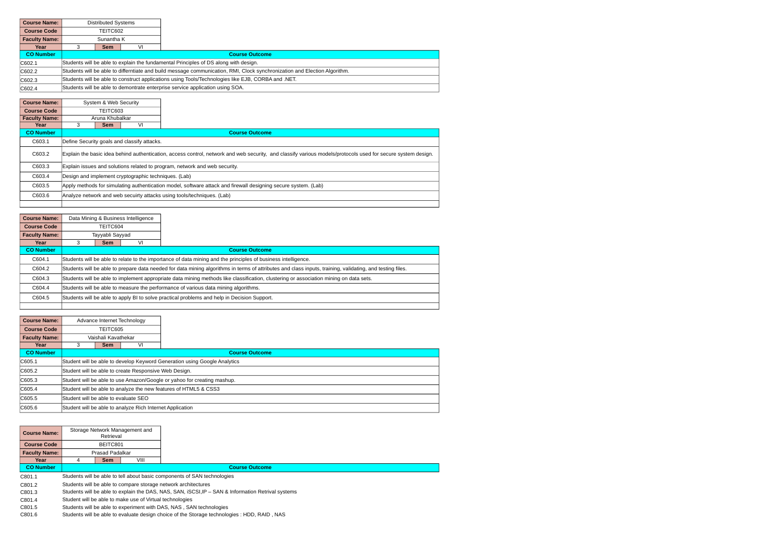| <b>Course Name:</b>  | Distributed Systems |    |                                                                                                                           |
|----------------------|---------------------|----|---------------------------------------------------------------------------------------------------------------------------|
| <b>Course Code</b>   | TEITC602            |    |                                                                                                                           |
| <b>Faculty Name:</b> | Sunantha K          |    |                                                                                                                           |
| Year                 | Sem                 | VI |                                                                                                                           |
| <b>CO Number</b>     |                     |    | <b>Course Outcome</b>                                                                                                     |
| C602.1               |                     |    | Students will be able to explain the fundamental Principles of DS along with design.                                      |
| C602.2               |                     |    | Students will be able to differntiate and build message communication, RMI, Clock synchronization and Election Algorithm. |
| C602.3               |                     |    | Students will be able to construct applications using Tools/Technologies like EJB, CORBA and .NET.                        |
| C602.4               |                     |    | Students will be able to demontrate enterprise service application using SOA.                                             |
|                      |                     |    |                                                                                                                           |

| <b>Course Name:</b>  |   | System & Web Security |                                                      |                                                                                                                                                              |
|----------------------|---|-----------------------|------------------------------------------------------|--------------------------------------------------------------------------------------------------------------------------------------------------------------|
| <b>Course Code</b>   |   | TEITC603              |                                                      |                                                                                                                                                              |
| <b>Faculty Name:</b> |   | Aruna Khubalkar       |                                                      |                                                                                                                                                              |
| Year                 | 3 | <b>Sem</b>            | VI                                                   |                                                                                                                                                              |
| <b>CO Number</b>     |   |                       |                                                      | <b>Course Outcome</b>                                                                                                                                        |
| C603.1               |   |                       | Define Security goals and classify attacks.          |                                                                                                                                                              |
| C603.2               |   |                       |                                                      | Explain the basic idea behind authentication, access control, network and web security, and classify various models/protocols used for secure system design. |
| C603.3               |   |                       |                                                      | Explain issues and solutions related to program, network and web security.                                                                                   |
| C603.4               |   |                       | Design and implement cryptographic techniques. (Lab) |                                                                                                                                                              |
| C603.5               |   |                       |                                                      | Apply methods for simulating authentication model, software attack and firewall designing secure system. (Lab)                                               |
| C603.6               |   |                       |                                                      | Analyze network and web secuirty attacks using tools/techniques. (Lab)                                                                                       |
|                      |   |                       |                                                      |                                                                                                                                                              |

| <b>Course Name:</b>  |   |                 | Data Mining & Business Intelligence |                                                                                                                                                           |
|----------------------|---|-----------------|-------------------------------------|-----------------------------------------------------------------------------------------------------------------------------------------------------------|
| <b>Course Code</b>   |   | TEITC604        |                                     |                                                                                                                                                           |
| <b>Faculty Name:</b> |   | Tayyabli Sayyad |                                     |                                                                                                                                                           |
| Year                 | 3 | Sem             | VI                                  |                                                                                                                                                           |
| <b>CO Number</b>     |   |                 |                                     | <b>Course Outcome</b>                                                                                                                                     |
| C604.1               |   |                 |                                     | Students will be able to relate to the importance of data mining and the principles of business intelligence.                                             |
| C604.2               |   |                 |                                     | Students will be able to prepare data needed for data mining algorithms in terms of attributes and class inputs, training, validating, and testing files. |
| C604.3               |   |                 |                                     | Students will be able to implement appropriate data mining methods like classification, clustering or association mining on data sets.                    |
| C604.4               |   |                 |                                     | Students will be able to measure the performance of various data mining algorithms.                                                                       |
| C604.5               |   |                 |                                     | Students will be able to apply BI to solve practical problems and help in Decision Support.                                                               |
|                      |   |                 |                                     |                                                                                                                                                           |

| <b>Course Name:</b>  |                                                                           | Advance Internet Technology |                                                           |                                                                         |  |
|----------------------|---------------------------------------------------------------------------|-----------------------------|-----------------------------------------------------------|-------------------------------------------------------------------------|--|
| <b>Course Code</b>   |                                                                           | TEITC605                    |                                                           |                                                                         |  |
| <b>Faculty Name:</b> |                                                                           | Vaishali Kavathekar         |                                                           |                                                                         |  |
| Year                 | 3                                                                         | Sem                         | VI                                                        |                                                                         |  |
| <b>CO Number</b>     |                                                                           |                             |                                                           | <b>Course Outcome</b>                                                   |  |
| C605.1               | Student will be able to develop Keyword Generation using Google Analytics |                             |                                                           |                                                                         |  |
| C605.2               | Student will be able to create Responsive Web Design.                     |                             |                                                           |                                                                         |  |
| C605.3               |                                                                           |                             |                                                           | Student will be able to use Amazon/Google or yahoo for creating mashup. |  |
| C605.4               |                                                                           |                             |                                                           | Student will be able to analyze the new features of HTML5 & CSS3        |  |
| C605.5               | Student will be able to evaluate SEO                                      |                             |                                                           |                                                                         |  |
| C605.6               |                                                                           |                             | Student will be able to analyze Rich Internet Application |                                                                         |  |

| <b>Course Name:</b>  |          | Retrieval       | Storage Network Management and                           |                                                                                                    |
|----------------------|----------|-----------------|----------------------------------------------------------|----------------------------------------------------------------------------------------------------|
| <b>Course Code</b>   | BEITC801 |                 |                                                          |                                                                                                    |
| <b>Faculty Name:</b> |          | Prasad Padalkar |                                                          |                                                                                                    |
| Year                 | 4        | <b>Sem</b>      | VIII                                                     |                                                                                                    |
| <b>CO Number</b>     |          |                 |                                                          | <b>Course Outcome</b>                                                                              |
| C801.1               |          |                 |                                                          | Students will be able to tell about basic components of SAN technologies                           |
| C801.2               |          |                 |                                                          | Students will be able to compare storage network architectures                                     |
| C801.3               |          |                 |                                                          | Students will be able to explain the DAS, NAS, SAN, ISCSI, IP - SAN & Information Retrival systems |
| C801.4               |          |                 | Student will be able to make use of Virtual technologies |                                                                                                    |
| C801.5               |          |                 |                                                          | Students will be able to experiment with DAS, NAS, SAN technologies                                |
| C801.6               |          |                 |                                                          | Students will be able to evaluate design choice of the Storage technologies : HDD, RAID, NAS       |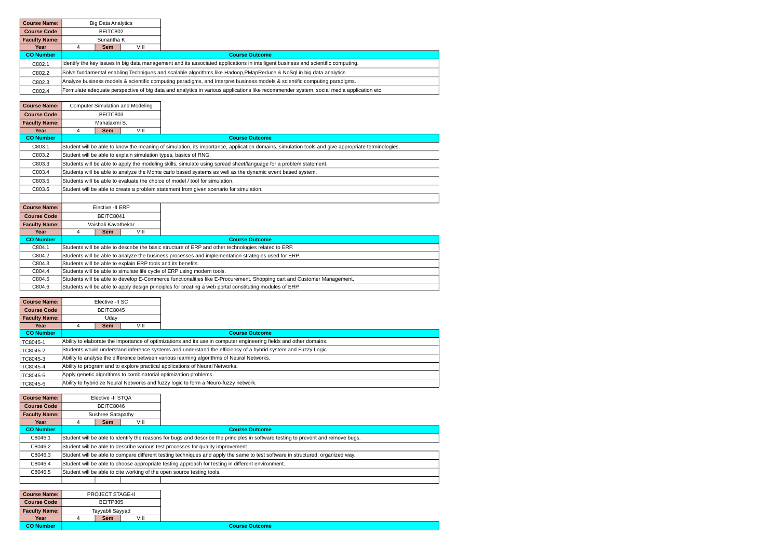| <b>Course Name:</b>  | <b>Big Data Analytics</b> |                                                                                                                                  |                                  |                                                                                                                                                   |  |  |  |  |
|----------------------|---------------------------|----------------------------------------------------------------------------------------------------------------------------------|----------------------------------|---------------------------------------------------------------------------------------------------------------------------------------------------|--|--|--|--|
| <b>Course Code</b>   |                           | BEITC802                                                                                                                         |                                  |                                                                                                                                                   |  |  |  |  |
| <b>Faculty Name:</b> | Sunantha K                |                                                                                                                                  |                                  |                                                                                                                                                   |  |  |  |  |
| Year                 | 4<br>Sem<br>VIII          |                                                                                                                                  |                                  |                                                                                                                                                   |  |  |  |  |
| <b>CO Number</b>     |                           | <b>Course Outcome</b>                                                                                                            |                                  |                                                                                                                                                   |  |  |  |  |
| C802.1               |                           | Identify the key issues in big data management and its associated applications in intelligent business and scientific computing. |                                  |                                                                                                                                                   |  |  |  |  |
| C802.2               |                           | Solve fundamental enabling Techniques and scalable algorithms like Hadoop,PMapReduce & NoSql in big data analytics.              |                                  |                                                                                                                                                   |  |  |  |  |
| C802.3               |                           | Analyze business models & scientific computing paradigms, and Interpret business models & scientific computing paradigms.        |                                  |                                                                                                                                                   |  |  |  |  |
| C802.4               |                           |                                                                                                                                  |                                  | Formulate adequate perspective of big data and analytics in various applications like recommender system, social media application etc.           |  |  |  |  |
|                      |                           |                                                                                                                                  |                                  |                                                                                                                                                   |  |  |  |  |
| <b>Course Name:</b>  |                           |                                                                                                                                  | Computer Simulation and Modeling |                                                                                                                                                   |  |  |  |  |
| <b>Course Code</b>   |                           | BEITC803                                                                                                                         |                                  |                                                                                                                                                   |  |  |  |  |
| <b>Faculty Name:</b> |                           | Mahalaxmi S.                                                                                                                     |                                  |                                                                                                                                                   |  |  |  |  |
| Year                 | VIII<br>4<br><b>Sem</b>   |                                                                                                                                  |                                  |                                                                                                                                                   |  |  |  |  |
|                      |                           |                                                                                                                                  |                                  |                                                                                                                                                   |  |  |  |  |
| <b>CO Number</b>     |                           |                                                                                                                                  |                                  | <b>Course Outcome</b>                                                                                                                             |  |  |  |  |
| C803.1               |                           |                                                                                                                                  |                                  | Student will be able to know the meaning of simulation, its importance, application domains, simulation tools and give appropriate terminologies. |  |  |  |  |
| C803.2               |                           |                                                                                                                                  |                                  | Student will be able to explain simulation types, basics of RNG.                                                                                  |  |  |  |  |
| C803.3               |                           |                                                                                                                                  |                                  | Students will be able to apply the modeling skills, simulate using spread sheet/language for a problem statement.                                 |  |  |  |  |
| C803.4               |                           |                                                                                                                                  |                                  | Students will be able to analyze the Monte carlo based systems as well as the dynamic event based system.                                         |  |  |  |  |
| C803.5               |                           |                                                                                                                                  |                                  | Students will be able to evaluate the choice of model / tool for simulation.                                                                      |  |  |  |  |
| C803.6               |                           |                                                                                                                                  |                                  | Student will be able to create a problem statement from given scenario for simulation.                                                            |  |  |  |  |
|                      |                           |                                                                                                                                  |                                  |                                                                                                                                                   |  |  |  |  |
| <b>Course Name:</b>  |                           | Elective -II ERP                                                                                                                 |                                  |                                                                                                                                                   |  |  |  |  |
| <b>Course Code</b>   |                           | BEITC8041                                                                                                                        |                                  |                                                                                                                                                   |  |  |  |  |
| <b>Faculty Name:</b> |                           | Vaishali Kavathekar                                                                                                              |                                  |                                                                                                                                                   |  |  |  |  |

|                  |                                                                                                                        | -----                                                                                               | . |                                                                                                     |  |  |  |
|------------------|------------------------------------------------------------------------------------------------------------------------|-----------------------------------------------------------------------------------------------------|---|-----------------------------------------------------------------------------------------------------|--|--|--|
| <b>CO Number</b> |                                                                                                                        | <b>Course Outcome</b>                                                                               |   |                                                                                                     |  |  |  |
| C804.1           |                                                                                                                        |                                                                                                     |   | Students will be able to describe the basic structure of ERP and other technologies related to ERP. |  |  |  |
| C804.2           |                                                                                                                        | Students will be able to analyze the business processes and implementation strategies used for ERP. |   |                                                                                                     |  |  |  |
| C804.3           |                                                                                                                        | Students will be able to explain ERP tools and its benefits.                                        |   |                                                                                                     |  |  |  |
| C804.4           | Students will be able to simulate life cycle of ERP using modern tools.                                                |                                                                                                     |   |                                                                                                     |  |  |  |
| C804.5           | Students will be able to develop E-Commerce functionalities like E-Procurement, Shopping cart and Customer Management. |                                                                                                     |   |                                                                                                     |  |  |  |
| C804.6           | Students will be able to apply design principles for creating a web portal constituting modules of ERP.                |                                                                                                     |   |                                                                                                     |  |  |  |

| <b>Course Name:</b>  | Elective -II SC                                                                           |                                                                  |  |                                                                                                                    |  |  |  |
|----------------------|-------------------------------------------------------------------------------------------|------------------------------------------------------------------|--|--------------------------------------------------------------------------------------------------------------------|--|--|--|
| <b>Course Code</b>   | BEITC8045                                                                                 |                                                                  |  |                                                                                                                    |  |  |  |
| <b>Faculty Name:</b> | Uday                                                                                      |                                                                  |  |                                                                                                                    |  |  |  |
| Year                 | 4                                                                                         | VIII<br><b>Sem</b>                                               |  |                                                                                                                    |  |  |  |
| <b>CO Number</b>     |                                                                                           |                                                                  |  | <b>Course Outcome</b>                                                                                              |  |  |  |
| <b>ITC8045-1</b>     |                                                                                           |                                                                  |  | Ability to elaborate the importance of optimizations and its use in computer engineering fields and other domains. |  |  |  |
| <b>ITC8045-2</b>     |                                                                                           |                                                                  |  | Students would understand inference systems and understand the efficiency of a hybrid system and Fuzzy Logic       |  |  |  |
| <b>ITC8045-3</b>     | Ability to analyse the difference between various learning algorithms of Neural Networks. |                                                                  |  |                                                                                                                    |  |  |  |
| <b>ITC8045-4</b>     | Ability to program and to explore practical applications of Neural Networks.              |                                                                  |  |                                                                                                                    |  |  |  |
| ITC8045-5            |                                                                                           | Apply genetic algorithms to combinatorial optimization problems. |  |                                                                                                                    |  |  |  |
| <b>ITC8045-6</b>     |                                                                                           |                                                                  |  | Ability to hybridize Neural Networks and fuzzy logic to form a Neuro-fuzzy network.                                |  |  |  |

| <b>Course Name:</b>  | Elective -II STOA                                                                                                                 |            |      |                                                                                  |  |  |
|----------------------|-----------------------------------------------------------------------------------------------------------------------------------|------------|------|----------------------------------------------------------------------------------|--|--|
| <b>Course Code</b>   | BEITC8046                                                                                                                         |            |      |                                                                                  |  |  |
| <b>Faculty Name:</b> | Sushree Satapathy                                                                                                                 |            |      |                                                                                  |  |  |
| Year                 | 4                                                                                                                                 | <b>Sem</b> | VIII |                                                                                  |  |  |
| <b>CO Number</b>     |                                                                                                                                   |            |      | <b>Course Outcome</b>                                                            |  |  |
| C8046.1              | Student will be able to identify the reasons for bugs and describe the principles in software testing to prevent and remove bugs. |            |      |                                                                                  |  |  |
| C8046.2              |                                                                                                                                   |            |      | Student will be able to describe various test processes for quality improvement. |  |  |
| C8046.3              | Student will be able to compare different testing techniques and apply the same to test software in structured, organized way.    |            |      |                                                                                  |  |  |
| C8046.4              | Student will be able to choose appropriate testing approach for testing in different environment.                                 |            |      |                                                                                  |  |  |
| C8046.5              | Student will be able to cite working of the open source testing tools.                                                            |            |      |                                                                                  |  |  |
|                      |                                                                                                                                   |            |      |                                                                                  |  |  |

| <b>Course Name:</b>  | PROJECT STAGE-II |                    |  |  |
|----------------------|------------------|--------------------|--|--|
| <b>Course Code</b>   | BEITP805         |                    |  |  |
| <b>Faculty Name:</b> |                  | Tayyabli Sayyad    |  |  |
| Year                 |                  | VIII<br><b>Sem</b> |  |  |
| <b>CO Number</b>     |                  |                    |  |  |